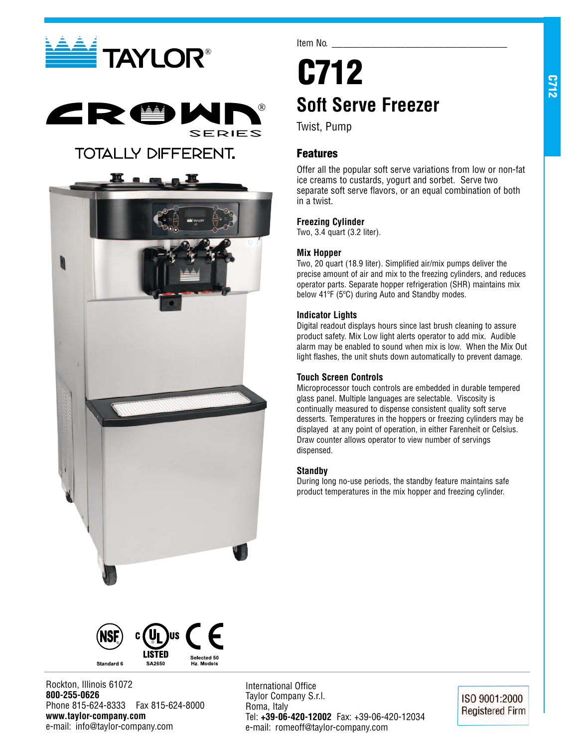



# **TOTALLY DIFFERENT.**



Item No.

# **C712 Soft Serve Freezer**

Twist, Pump

# **Features**

Offer all the popular soft serve variations from low or non-fat ice creams to custards, yogurt and sorbet. Serve two separate soft serve flavors, or an equal combination of both in a twist.

# **Freezing Cylinder**

Two, 3.4 quart (3.2 liter).

# **Mix Hopper**

Two, 20 quart (18.9 liter). Simplified air/mix pumps deliver the precise amount of air and mix to the freezing cylinders, and reduces operator parts. Separate hopper refrigeration (SHR) maintains mix below 41ºF (5ºC) during Auto and Standby modes.

# **Indicator Lights**

Digital readout displays hours since last brush cleaning to assure product safety. Mix Low light alerts operator to add mix. Audible alarm may be enabled to sound when mix is low. When the Mix Out light flashes, the unit shuts down automatically to prevent damage.

## **Touch Screen Controls**

Microprocessor touch controls are embedded in durable tempered glass panel. Multiple languages are selectable. Viscosity is continually measured to dispense consistent quality soft serve desserts. Temperatures in the hoppers or freezing cylinders may be displayed at any point of operation, in either Farenheit or Celsius. Draw counter allows operator to view number of servings dispensed.

## **Standby**

During long no-use periods, the standby feature maintains safe product temperatures in the mix hopper and freezing cylinder.



Rockton, Illinois 61072 **800-255-0626** Phone 815-624-8333 Fax 815-624-8000 **www.taylor-company.com** e-mail: info@taylor-company.com

International Office Taylor Company S.r.l. Roma, Italy Tel: **+39-06-420-12002** Fax: +39-06-420-12034 e-mail: romeoff@taylor-company.com

ISO 9001:2000 **Registered Firm**